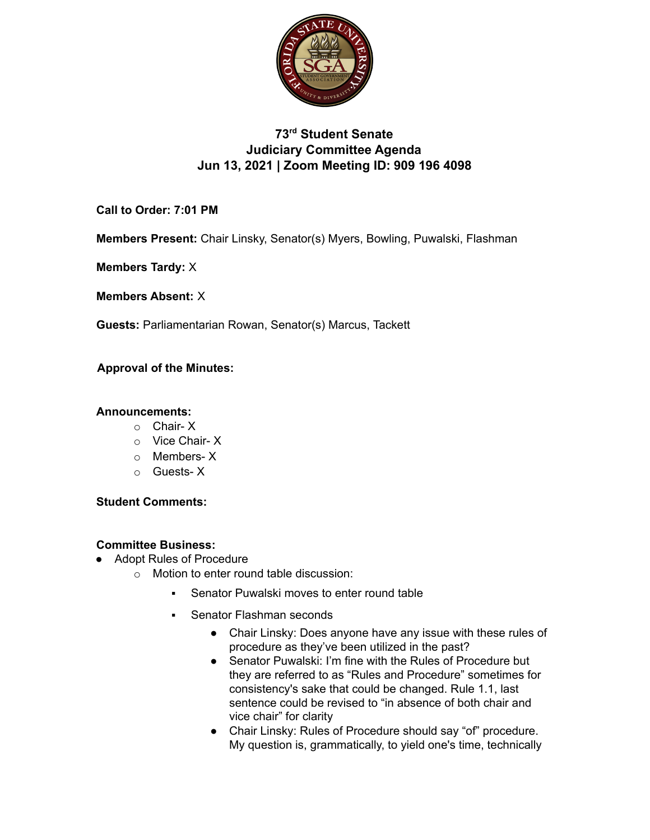

# **73rd Student Senate Judiciary Committee Agenda Jun 13, 2021 | Zoom Meeting ID: 909 196 4098**

**Call to Order: 7:01 PM**

**Members Present:** Chair Linsky, Senator(s) Myers, Bowling, Puwalski, Flashman

**Members Tardy:** X

**Members Absent:** X

**Guests:** Parliamentarian Rowan, Senator(s) Marcus, Tackett

## **Approval of the Minutes:**

### **Announcements:**

- o Chair- X
- o Vice Chair- X
- o Members- X
- o Guests- X

### **Student Comments:**

## **Committee Business:**

- Adopt Rules of Procedure
	- o Motion to enter round table discussion:
		- Senator Puwalski moves to enter round table
		- **Senator Flashman seconds** 
			- Chair Linsky: Does anyone have any issue with these rules of procedure as they've been utilized in the past?
			- Senator Puwalski: I'm fine with the Rules of Procedure but they are referred to as "Rules and Procedure" sometimes for consistency's sake that could be changed. Rule 1.1, last sentence could be revised to "in absence of both chair and vice chair" for clarity
			- Chair Linsky: Rules of Procedure should say "of" procedure. My question is, grammatically, to yield one's time, technically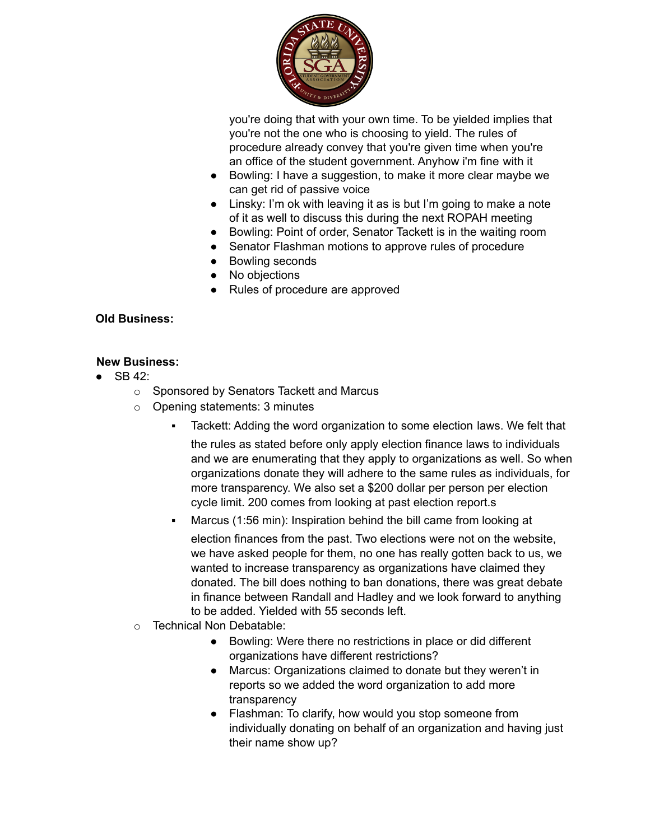

you're doing that with your own time. To be yielded implies that you're not the one who is choosing to yield. The rules of procedure already convey that you're given time when you're an office of the student government. Anyhow i'm fine with it

- Bowling: I have a suggestion, to make it more clear maybe we can get rid of passive voice
- Linsky: I'm ok with leaving it as is but I'm going to make a note of it as well to discuss this during the next ROPAH meeting
- Bowling: Point of order, Senator Tackett is in the waiting room
- Senator Flashman motions to approve rules of procedure
- Bowling seconds
- No objections
- Rules of procedure are approved

### **Old Business:**

### **New Business:**

- $\bullet$  SB 42:
	- o Sponsored by Senators Tackett and Marcus
	- o Opening statements: 3 minutes
		- Tackett: Adding the word organization to some election laws. We felt that

the rules as stated before only apply election finance laws to individuals and we are enumerating that they apply to organizations as well. So when organizations donate they will adhere to the same rules as individuals, for more transparency. We also set a \$200 dollar per person per election cycle limit. 200 comes from looking at past election report.s

Marcus (1:56 min): Inspiration behind the bill came from looking at

election finances from the past. Two elections were not on the website, we have asked people for them, no one has really gotten back to us, we wanted to increase transparency as organizations have claimed they donated. The bill does nothing to ban donations, there was great debate in finance between Randall and Hadley and we look forward to anything to be added. Yielded with 55 seconds left.

- o Technical Non Debatable:
	- Bowling: Were there no restrictions in place or did different organizations have different restrictions?
	- Marcus: Organizations claimed to donate but they weren't in reports so we added the word organization to add more transparency
	- Flashman: To clarify, how would you stop someone from individually donating on behalf of an organization and having just their name show up?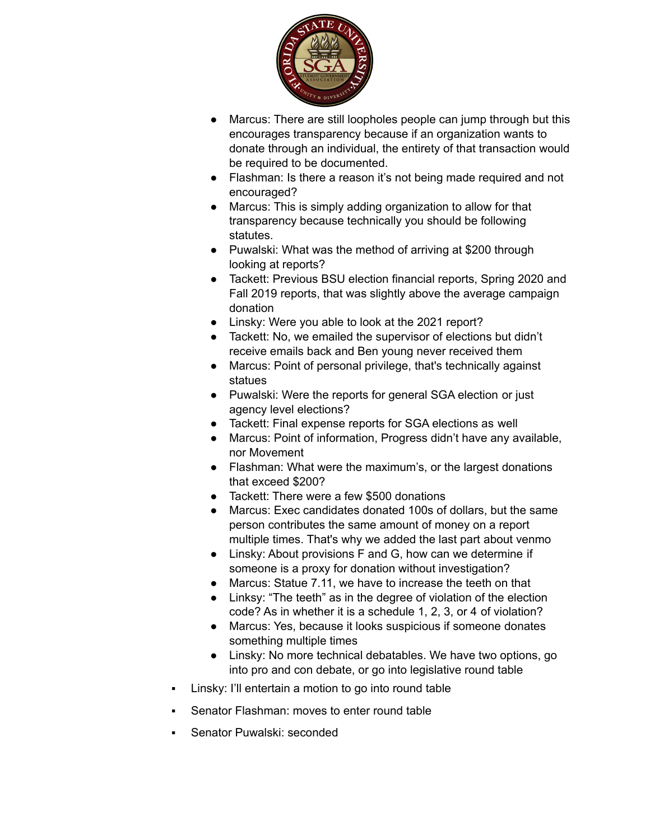

- Marcus: There are still loopholes people can jump through but this encourages transparency because if an organization wants to donate through an individual, the entirety of that transaction would be required to be documented.
- Flashman: Is there a reason it's not being made required and not encouraged?
- Marcus: This is simply adding organization to allow for that transparency because technically you should be following statutes.
- Puwalski: What was the method of arriving at \$200 through looking at reports?
- Tackett: Previous BSU election financial reports, Spring 2020 and Fall 2019 reports, that was slightly above the average campaign donation
- Linsky: Were you able to look at the 2021 report?
- Tackett: No, we emailed the supervisor of elections but didn't receive emails back and Ben young never received them
- Marcus: Point of personal privilege, that's technically against statues
- Puwalski: Were the reports for general SGA election or just agency level elections?
- Tackett: Final expense reports for SGA elections as well
- Marcus: Point of information, Progress didn't have any available, nor Movement
- Flashman: What were the maximum's, or the largest donations that exceed \$200?
- Tackett: There were a few \$500 donations
- Marcus: Exec candidates donated 100s of dollars, but the same person contributes the same amount of money on a report multiple times. That's why we added the last part about venmo
- Linsky: About provisions F and G, how can we determine if someone is a proxy for donation without investigation?
- Marcus: Statue 7.11, we have to increase the teeth on that
- Linksy: "The teeth" as in the degree of violation of the election code? As in whether it is a schedule 1, 2, 3, or 4 of violation?
- Marcus: Yes, because it looks suspicious if someone donates something multiple times
- Linsky: No more technical debatables. We have two options, go into pro and con debate, or go into legislative round table
- Linsky: I'll entertain a motion to go into round table
- Senator Flashman: moves to enter round table
- Senator Puwalski: seconded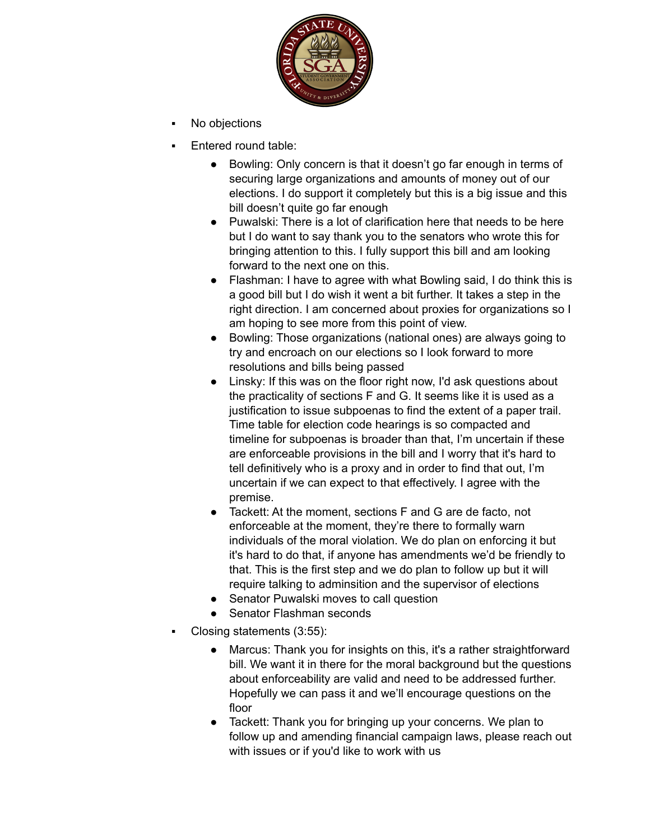

- No objections
- Entered round table:
	- Bowling: Only concern is that it doesn't go far enough in terms of securing large organizations and amounts of money out of our elections. I do support it completely but this is a big issue and this bill doesn't quite go far enough
	- Puwalski: There is a lot of clarification here that needs to be here but I do want to say thank you to the senators who wrote this for bringing attention to this. I fully support this bill and am looking forward to the next one on this.
	- Flashman: I have to agree with what Bowling said, I do think this is a good bill but I do wish it went a bit further. It takes a step in the right direction. I am concerned about proxies for organizations so I am hoping to see more from this point of view.
	- Bowling: Those organizations (national ones) are always going to try and encroach on our elections so I look forward to more resolutions and bills being passed
	- Linsky: If this was on the floor right now, I'd ask questions about the practicality of sections F and G. It seems like it is used as a justification to issue subpoenas to find the extent of a paper trail. Time table for election code hearings is so compacted and timeline for subpoenas is broader than that, I'm uncertain if these are enforceable provisions in the bill and I worry that it's hard to tell definitively who is a proxy and in order to find that out, I'm uncertain if we can expect to that effectively. I agree with the premise.
	- Tackett: At the moment, sections F and G are de facto, not enforceable at the moment, they're there to formally warn individuals of the moral violation. We do plan on enforcing it but it's hard to do that, if anyone has amendments we'd be friendly to that. This is the first step and we do plan to follow up but it will require talking to adminsition and the supervisor of elections
	- Senator Puwalski moves to call question
	- Senator Flashman seconds
- Closing statements (3:55):
	- Marcus: Thank you for insights on this, it's a rather straightforward bill. We want it in there for the moral background but the questions about enforceability are valid and need to be addressed further. Hopefully we can pass it and we'll encourage questions on the floor
	- Tackett: Thank you for bringing up your concerns. We plan to follow up and amending financial campaign laws, please reach out with issues or if you'd like to work with us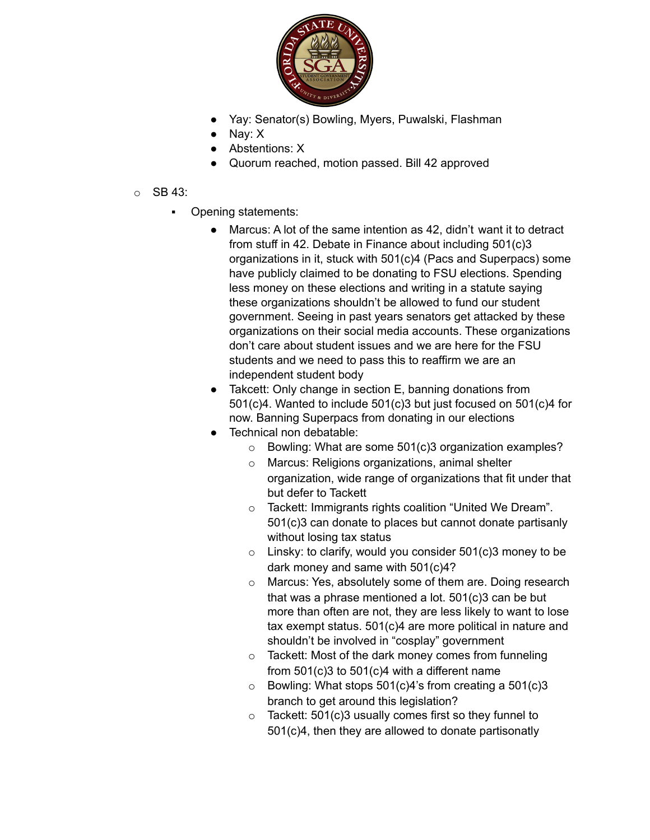

- Yay: Senator(s) Bowling, Myers, Puwalski, Flashman
- Nay: X
- Abstentions: X
- Quorum reached, motion passed. Bill 42 approved

### o SB 43:

- Opening statements:
	- Marcus: A lot of the same intention as 42, didn't want it to detract from stuff in 42. Debate in Finance about including 501(c)3 organizations in it, stuck with 501(c)4 (Pacs and Superpacs) some have publicly claimed to be donating to FSU elections. Spending less money on these elections and writing in a statute saying these organizations shouldn't be allowed to fund our student government. Seeing in past years senators get attacked by these organizations on their social media accounts. These organizations don't care about student issues and we are here for the FSU students and we need to pass this to reaffirm we are an independent student body
	- Takcett: Only change in section E, banning donations from 501(c)4. Wanted to include 501(c)3 but just focused on 501(c)4 for now. Banning Superpacs from donating in our elections
	- Technical non debatable:
		- o Bowling: What are some 501(c)3 organization examples?
		- o Marcus: Religions organizations, animal shelter organization, wide range of organizations that fit under that but defer to Tackett
		- o Tackett: Immigrants rights coalition "United We Dream". 501(c)3 can donate to places but cannot donate partisanly without losing tax status
		- $\circ$  Linsky: to clarify, would you consider 501(c)3 money to be dark money and same with 501(c)4?
		- o Marcus: Yes, absolutely some of them are. Doing research that was a phrase mentioned a lot. 501(c)3 can be but more than often are not, they are less likely to want to lose tax exempt status. 501(c)4 are more political in nature and shouldn't be involved in "cosplay" government
		- o Tackett: Most of the dark money comes from funneling from 501(c)3 to 501(c)4 with a different name
		- $\circ$  Bowling: What stops 501(c)4's from creating a 501(c)3 branch to get around this legislation?
		- $\circ$  Tackett: 501(c)3 usually comes first so they funnel to 501(c)4, then they are allowed to donate partisonatly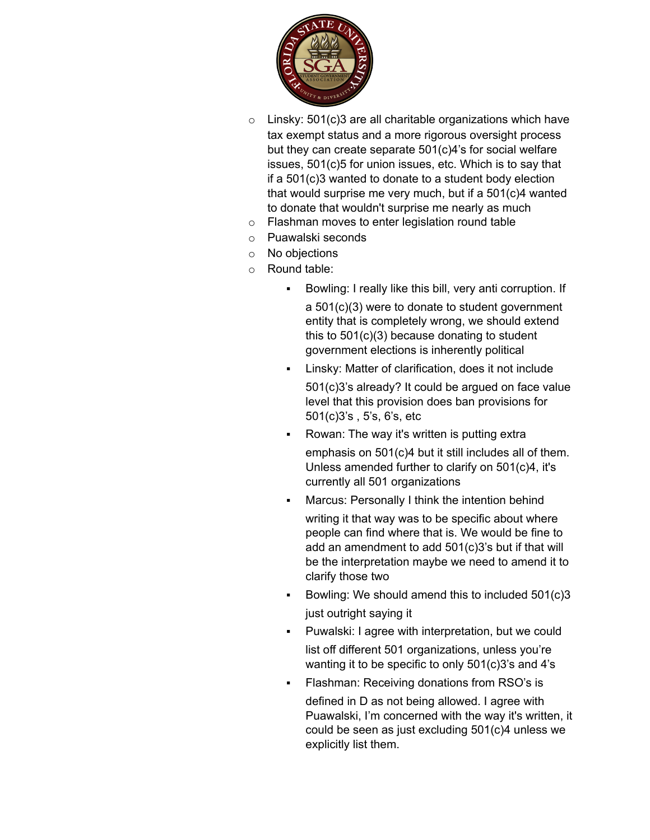

- $\circ$  Linsky: 501(c)3 are all charitable organizations which have tax exempt status and a more rigorous oversight process but they can create separate 501(c)4's for social welfare issues, 501(c)5 for union issues, etc. Which is to say that if a 501(c)3 wanted to donate to a student body election that would surprise me very much, but if a 501(c)4 wanted to donate that wouldn't surprise me nearly as much
- o Flashman moves to enter legislation round table
- o Puawalski seconds
- o No objections
- o Round table:
	- Bowling: I really like this bill, very anti corruption. If a 501(c)(3) were to donate to student government entity that is completely wrong, we should extend this to 501(c)(3) because donating to student government elections is inherently political
	- Linsky: Matter of clarification, does it not include

501(c)3's already? It could be argued on face value level that this provision does ban provisions for 501(c)3's , 5's, 6's, etc

- Rowan: The way it's written is putting extra emphasis on 501(c)4 but it still includes all of them. Unless amended further to clarify on 501(c)4, it's currently all 501 organizations
	- Marcus: Personally I think the intention behind writing it that way was to be specific about where people can find where that is. We would be fine to

add an amendment to add 501(c)3's but if that will be the interpretation maybe we need to amend it to clarify those two

- Bowling: We should amend this to included 501(c)3 just outright saying it
- Puwalski: I agree with interpretation, but we could list off different 501 organizations, unless you're wanting it to be specific to only 501(c)3's and 4's
	- Flashman: Receiving donations from RSO's is defined in D as not being allowed. I agree with Puawalski, I'm concerned with the way it's written, it could be seen as just excluding 501(c)4 unless we explicitly list them.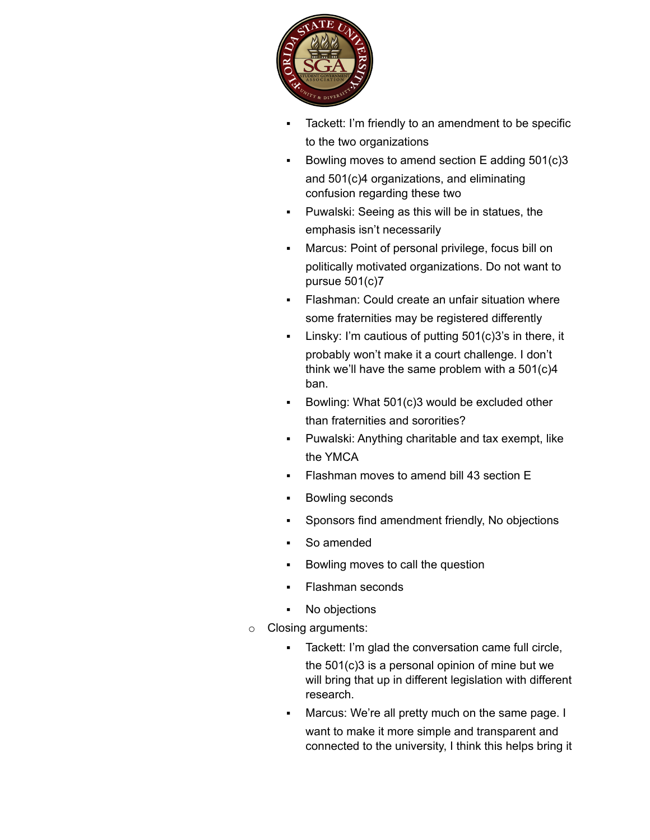

- Tackett: I'm friendly to an amendment to be specific to the two organizations
- Bowling moves to amend section E adding  $501(c)3$ and 501(c)4 organizations, and eliminating confusion regarding these two
- Puwalski: Seeing as this will be in statues, the emphasis isn't necessarily
- Marcus: Point of personal privilege, focus bill on politically motivated organizations. Do not want to pursue 501(c)7
- **Flashman: Could create an unfair situation where** some fraternities may be registered differently
- Linsky: I'm cautious of putting 501(c)3's in there, it probably won't make it a court challenge. I don't think we'll have the same problem with a 501(c)4 ban.
- Bowling: What 501(c)3 would be excluded other than fraternities and sororities?
- Puwalski: Anything charitable and tax exempt, like the YMCA
- Flashman moves to amend bill 43 section E
- Bowling seconds
- Sponsors find amendment friendly, No objections
- So amended
- Bowling moves to call the question
- **Flashman seconds**
- No objections
- o Closing arguments:
	- Tackett: I'm glad the conversation came full circle, the 501(c)3 is a personal opinion of mine but we will bring that up in different legislation with different research.
	- Marcus: We're all pretty much on the same page. I
		- want to make it more simple and transparent and connected to the university, I think this helps bring it